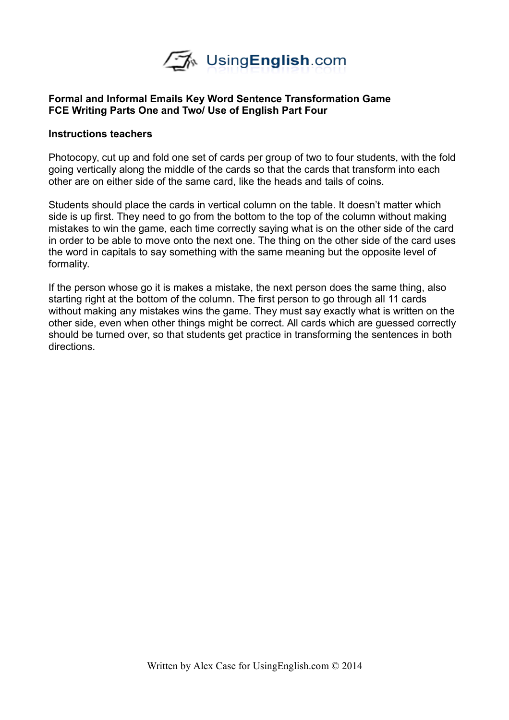

## **Formal and Informal Emails Key Word Sentence Transformation Game FCE Writing Parts One and Two/ Use of English Part Four**

## **Instructions teachers**

Photocopy, cut up and fold one set of cards per group of two to four students, with the fold going vertically along the middle of the cards so that the cards that transform into each other are on either side of the same card, like the heads and tails of coins.

Students should place the cards in vertical column on the table. It doesn't matter which side is up first. They need to go from the bottom to the top of the column without making mistakes to win the game, each time correctly saying what is on the other side of the card in order to be able to move onto the next one. The thing on the other side of the card uses the word in capitals to say something with the same meaning but the opposite level of formality.

If the person whose go it is makes a mistake, the next person does the same thing, also starting right at the bottom of the column. The first person to go through all 11 cards without making any mistakes wins the game. They must say exactly what is written on the other side, even when other things might be correct. All cards which are guessed correctly should be turned over, so that students get practice in transforming the sentences in both directions.